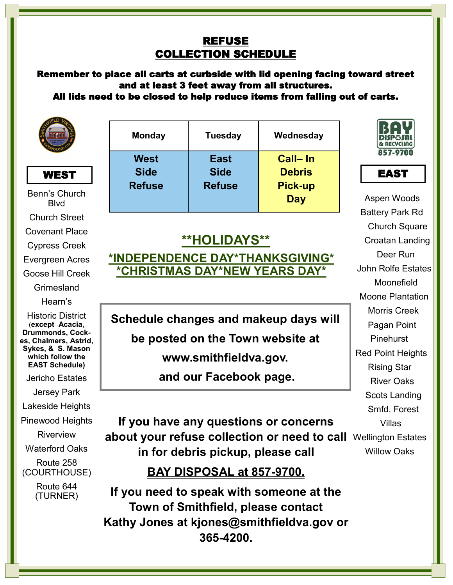#### REFUSE COLLECTION SCHEDULE

Remember to place all carts at curbside with lid opening facing toward street and at least 3 feet away from all structures.

All lids need to be closed to help reduce items from falling out of carts.





Benn's Church Blvd Church Street Covenant Place Cypress Creek Evergreen Acres Goose Hill Creek Grimesland Hearn's Historic District (**except Acacia, Drummonds, Cockes, Chalmers, Astrid, Sykes, & S. Mason which follow the EAST Schedule)**

Jericho Estates

Jersey Park

Lakeside Heights

Pinewood Heights

Riverview

Waterford Oaks

Route 258 (COURTHOUSE)

> Route 644 (TURNER)

| <b>Monday</b>                        | <b>Tuesday</b>                              | Wednesday                                         |
|--------------------------------------|---------------------------------------------|---------------------------------------------------|
| West<br><b>Side</b><br><b>Refuse</b> | <b>East</b><br><b>Side</b><br><b>Refuse</b> | Call-In<br><b>Debris</b><br><b>Pick-up</b><br>Day |

# **\*\*HOLIDAYS\*\* \*INDEPENDENCE DAY\*THANKSGIVING\* \*CHRISTMAS DAY\*NEW YEARS DAY\***

**Schedule changes and makeup days will be posted on the Town website at www.smithfieldva.gov. and our Facebook page.**

# about your refuse collection or need to call Wellington Estates **If you have any questions or concerns in for debris pickup, please call**

Willow Oaks

# **BAY DISPOSAL at 857-9700.**

**If you need to speak with someone at the Town of Smithfield, please contact Kathy Jones at kjones@smithfieldva.gov or 365-4200.** 





Aspen Woods Battery Park Rd Church Square Croatan Landing Deer Run John Rolfe Estates Moonefield Moone Plantation Morris Creek Pagan Point Pinehurst Red Point Heights Rising Star River Oaks Scots Landing Smfd. Forest Villas